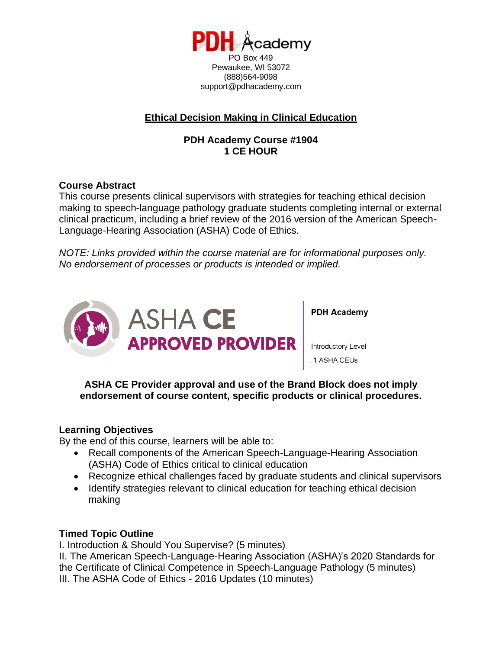

Pewaukee, WI 53072 (888)564-9098 support@pdhacademy.com

# **Ethical Decision Making in Clinical Education**

# **PDH Academy Course #1904 1 CE HOUR**

# **Course Abstract**

This course presents clinical supervisors with strategies for teaching ethical decision making to speech-language pathology graduate students completing internal or external clinical practicum, including a brief review of the 2016 version of the American Speech-Language-Hearing Association (ASHA) Code of Ethics.

*NOTE: Links provided within the course material are for informational purposes only. No endorsement of processes or products is intended or implied.*



**PDH Academy** 

Introductory Level .1 ASHA CEUs

**ASHA CE Provider approval and use of the Brand Block does not imply endorsement of course content, specific products or clinical procedures.**

# **Learning Objectives**

By the end of this course, learners will be able to:

- Recall components of the American Speech-Language-Hearing Association (ASHA) Code of Ethics critical to clinical education
- Recognize ethical challenges faced by graduate students and clinical supervisors
- Identify strategies relevant to clinical education for teaching ethical decision making

#### **Timed Topic Outline**

I. Introduction & Should You Supervise? (5 minutes)

II. The American Speech-Language-Hearing Association (ASHA)'s 2020 Standards for the Certificate of Clinical Competence in Speech-Language Pathology (5 minutes) III. The ASHA Code of Ethics - 2016 Updates (10 minutes)